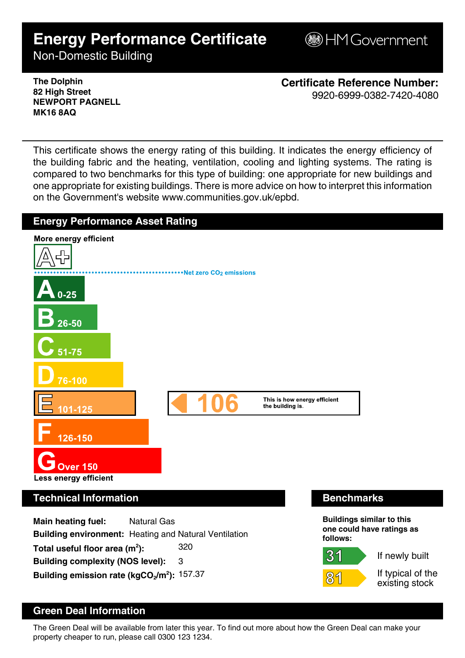# **Energy Performance Certificate**

**B**HM Government

Non-Domestic Building

**The Dolphin 82 High Street NEWPORT PAGNELL MK16 8AQ**

**Certificate Reference Number:** 9920-6999-0382-7420-4080

This certificate shows the energy rating of this building. It indicates the energy efficiency of the building fabric and the heating, ventilation, cooling and lighting systems. The rating is compared to two benchmarks for this type of building: one appropriate for new buildings and one appropriate for existing buildings. There is more advice on how to interpret this information on the Government's website www.communities.gov.uk/epbd.



## **Green Deal Information**

The Green Deal will be available from later this year. To find out more about how the Green Deal can make your property cheaper to run, please call 0300 123 1234.